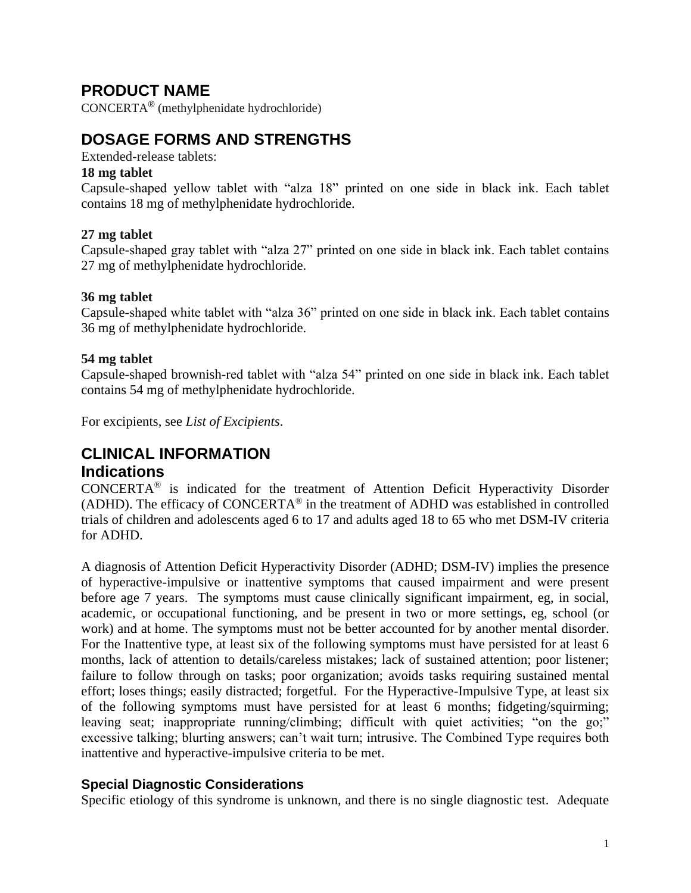# **PRODUCT NAME**

CONCERTA® (methylphenidate hydrochloride)

# **DOSAGE FORMS AND STRENGTHS**

Extended-release tablets:

#### **18 mg tablet**

Capsule-shaped yellow tablet with "alza 18" printed on one side in black ink. Each tablet contains 18 mg of methylphenidate hydrochloride.

# **27 mg tablet**

Capsule-shaped gray tablet with "alza 27" printed on one side in black ink. Each tablet contains 27 mg of methylphenidate hydrochloride.

#### **36 mg tablet**

Capsule-shaped white tablet with "alza 36" printed on one side in black ink. Each tablet contains 36 mg of methylphenidate hydrochloride.

#### **54 mg tablet**

Capsule-shaped brownish-red tablet with "alza 54" printed on one side in black ink. Each tablet contains 54 mg of methylphenidate hydrochloride.

For excipients, see *List of Excipients*.

# **CLINICAL INFORMATION Indications**

CONCERTA® is indicated for the treatment of Attention Deficit Hyperactivity Disorder (ADHD). The efficacy of CONCERTA® in the treatment of ADHD was established in controlled trials of children and adolescents aged 6 to 17 and adults aged 18 to 65 who met DSM-IV criteria for ADHD.

A diagnosis of Attention Deficit Hyperactivity Disorder (ADHD; DSM-IV) implies the presence of hyperactive-impulsive or inattentive symptoms that caused impairment and were present before age 7 years. The symptoms must cause clinically significant impairment, eg, in social, academic, or occupational functioning, and be present in two or more settings, eg, school (or work) and at home. The symptoms must not be better accounted for by another mental disorder. For the Inattentive type, at least six of the following symptoms must have persisted for at least 6 months, lack of attention to details/careless mistakes; lack of sustained attention; poor listener; failure to follow through on tasks; poor organization; avoids tasks requiring sustained mental effort; loses things; easily distracted; forgetful. For the Hyperactive-Impulsive Type, at least six of the following symptoms must have persisted for at least 6 months; fidgeting/squirming; leaving seat; inappropriate running/climbing; difficult with quiet activities; "on the go;" excessive talking; blurting answers; can't wait turn; intrusive. The Combined Type requires both inattentive and hyperactive-impulsive criteria to be met.

# **Special Diagnostic Considerations**

Specific etiology of this syndrome is unknown, and there is no single diagnostic test. Adequate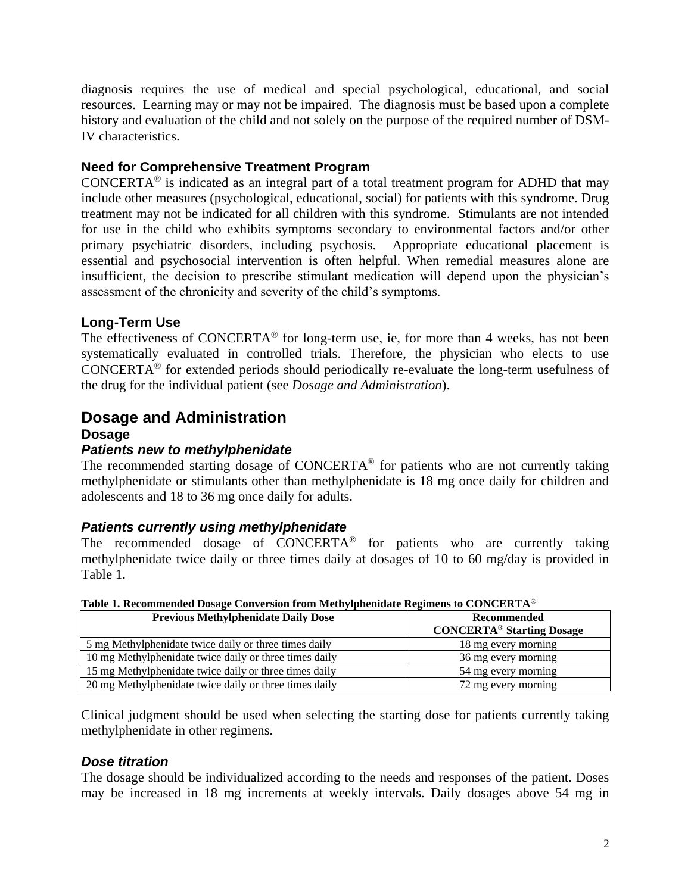diagnosis requires the use of medical and special psychological, educational, and social resources. Learning may or may not be impaired. The diagnosis must be based upon a complete history and evaluation of the child and not solely on the purpose of the required number of DSM-IV characteristics.

# **Need for Comprehensive Treatment Program**

CONCERTA<sup>®</sup> is indicated as an integral part of a total treatment program for ADHD that may include other measures (psychological, educational, social) for patients with this syndrome. Drug treatment may not be indicated for all children with this syndrome. Stimulants are not intended for use in the child who exhibits symptoms secondary to environmental factors and/or other primary psychiatric disorders, including psychosis. Appropriate educational placement is essential and psychosocial intervention is often helpful. When remedial measures alone are insufficient, the decision to prescribe stimulant medication will depend upon the physician's assessment of the chronicity and severity of the child's symptoms.

# **Long-Term Use**

The effectiveness of CONCERTA® for long-term use, ie, for more than 4 weeks, has not been systematically evaluated in controlled trials. Therefore, the physician who elects to use CONCERTA® for extended periods should periodically re-evaluate the long-term usefulness of the drug for the individual patient (see *Dosage and Administration*).

# **Dosage and Administration**

#### **Dosage**

# *Patients new to methylphenidate*

The recommended starting dosage of  $CONCERTA<sup>®</sup>$  for patients who are not currently taking methylphenidate or stimulants other than methylphenidate is 18 mg once daily for children and adolescents and 18 to 36 mg once daily for adults.

# *Patients currently using methylphenidate*

The recommended dosage of CONCERTA® for patients who are currently taking methylphenidate twice daily or three times daily at dosages of 10 to 60 mg/day is provided in Table 1.

| <b>Previous Methylphenidate Daily Dose</b>             | Recommended<br><b>CONCERTA®</b> Starting Dosage |
|--------------------------------------------------------|-------------------------------------------------|
| 5 mg Methylphenidate twice daily or three times daily  | 18 mg every morning                             |
| 10 mg Methylphenidate twice daily or three times daily | 36 mg every morning                             |
| 15 mg Methylphenidate twice daily or three times daily | 54 mg every morning                             |
| 20 mg Methylphenidate twice daily or three times daily | 72 mg every morning                             |

**Table 1. Recommended Dosage Conversion from Methylphenidate Regimens to CONCERTA**®

Clinical judgment should be used when selecting the starting dose for patients currently taking methylphenidate in other regimens.

# *Dose titration*

The dosage should be individualized according to the needs and responses of the patient. Doses may be increased in 18 mg increments at weekly intervals. Daily dosages above 54 mg in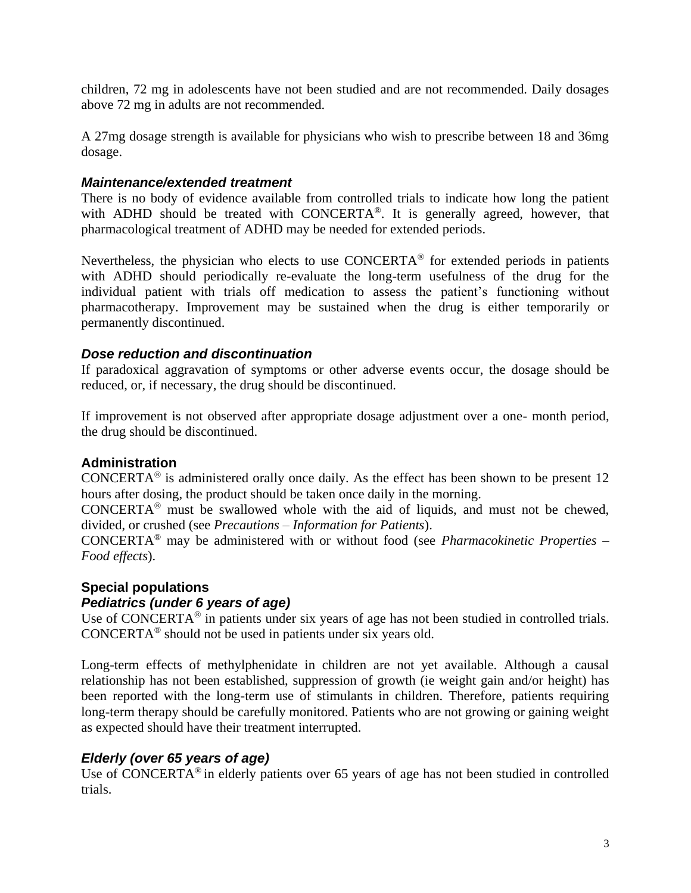children, 72 mg in adolescents have not been studied and are not recommended. Daily dosages above 72 mg in adults are not recommended.

A 27mg dosage strength is available for physicians who wish to prescribe between 18 and 36mg dosage.

#### *Maintenance/extended treatment*

There is no body of evidence available from controlled trials to indicate how long the patient with ADHD should be treated with CONCERTA®. It is generally agreed, however, that pharmacological treatment of ADHD may be needed for extended periods.

Nevertheless, the physician who elects to use CONCERTA® for extended periods in patients with ADHD should periodically re-evaluate the long-term usefulness of the drug for the individual patient with trials off medication to assess the patient's functioning without pharmacotherapy. Improvement may be sustained when the drug is either temporarily or permanently discontinued.

#### *Dose reduction and discontinuation*

If paradoxical aggravation of symptoms or other adverse events occur, the dosage should be reduced, or, if necessary, the drug should be discontinued.

If improvement is not observed after appropriate dosage adjustment over a one- month period, the drug should be discontinued.

# **Administration**

CONCERTA<sup>®</sup> is administered orally once daily. As the effect has been shown to be present 12 hours after dosing, the product should be taken once daily in the morning.

CONCERTA® must be swallowed whole with the aid of liquids, and must not be chewed, divided, or crushed (see *Precautions – Information for Patients*).

CONCERTA® may be administered with or without food (see *Pharmacokinetic Properties – Food effects*).

# **Special populations**

# *Pediatrics (under 6 years of age)*

Use of CONCERTA<sup>®</sup> in patients under six years of age has not been studied in controlled trials. CONCERTA® should not be used in patients under six years old.

Long-term effects of methylphenidate in children are not yet available. Although a causal relationship has not been established, suppression of growth (ie weight gain and/or height) has been reported with the long-term use of stimulants in children. Therefore, patients requiring long-term therapy should be carefully monitored. Patients who are not growing or gaining weight as expected should have their treatment interrupted.

# *Elderly (over 65 years of age)*

Use of CONCERTA<sup>®</sup> in elderly patients over 65 years of age has not been studied in controlled trials.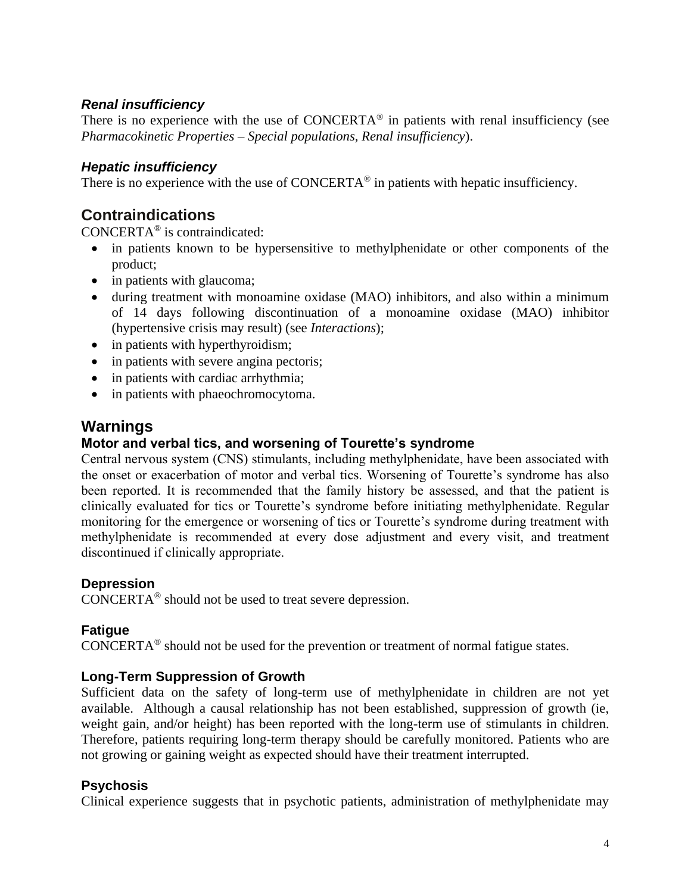# *Renal insufficiency*

There is no experience with the use of CONCERTA<sup>®</sup> in patients with renal insufficiency (see *Pharmacokinetic Properties – Special populations, Renal insufficiency*).

# *Hepatic insufficiency*

There is no experience with the use of CONCERTA<sup>®</sup> in patients with hepatic insufficiency.

# **Contraindications**

CONCERTA® is contraindicated:

- in patients known to be hypersensitive to methylphenidate or other components of the product;
- in patients with glaucoma;
- during treatment with monoamine oxidase (MAO) inhibitors, and also within a minimum of 14 days following discontinuation of a monoamine oxidase (MAO) inhibitor (hypertensive crisis may result) (see *Interactions*);
- in patients with hyperthyroidism;
- in patients with severe angina pectoris;
- in patients with cardiac arrhythmia;
- in patients with phaeochromocytoma.

# **Warnings**

#### **Motor and verbal tics, and worsening of Tourette's syndrome**

Central nervous system (CNS) stimulants, including methylphenidate, have been associated with the onset or exacerbation of motor and verbal tics. Worsening of Tourette's syndrome has also been reported. It is recommended that the family history be assessed, and that the patient is clinically evaluated for tics or Tourette's syndrome before initiating methylphenidate. Regular monitoring for the emergence or worsening of tics or Tourette's syndrome during treatment with methylphenidate is recommended at every dose adjustment and every visit, and treatment discontinued if clinically appropriate.

#### **Depression**

CONCERTA® should not be used to treat severe depression.

# **Fatigue**

CONCERTA® should not be used for the prevention or treatment of normal fatigue states.

# **Long-Term Suppression of Growth**

Sufficient data on the safety of long-term use of methylphenidate in children are not yet available. Although a causal relationship has not been established, suppression of growth (ie, weight gain, and/or height) has been reported with the long-term use of stimulants in children. Therefore, patients requiring long-term therapy should be carefully monitored. Patients who are not growing or gaining weight as expected should have their treatment interrupted.

# **Psychosis**

Clinical experience suggests that in psychotic patients, administration of methylphenidate may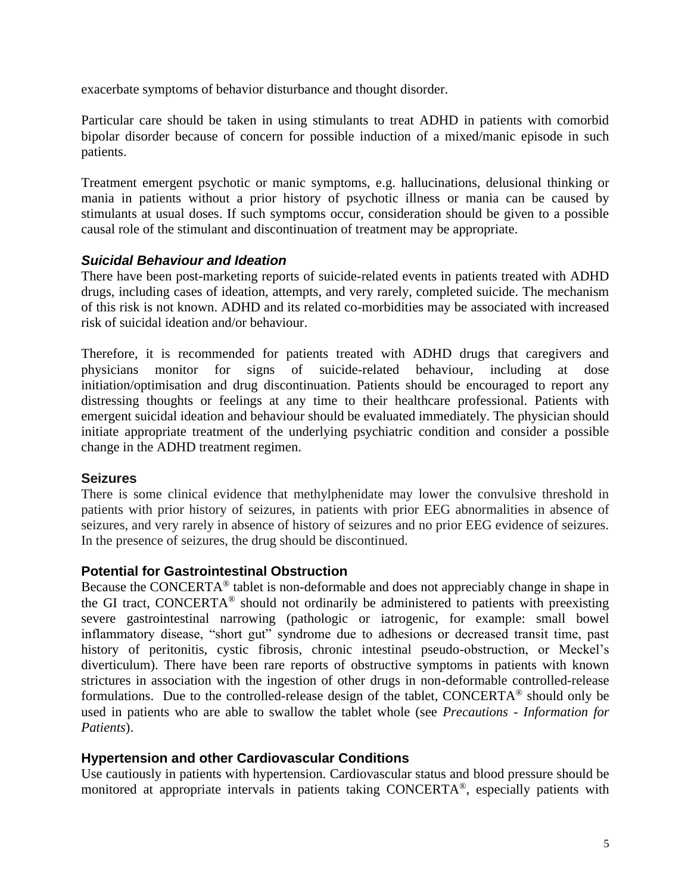exacerbate symptoms of behavior disturbance and thought disorder.

Particular care should be taken in using stimulants to treat ADHD in patients with comorbid bipolar disorder because of concern for possible induction of a mixed/manic episode in such patients.

Treatment emergent psychotic or manic symptoms, e.g. hallucinations, delusional thinking or mania in patients without a prior history of psychotic illness or mania can be caused by stimulants at usual doses. If such symptoms occur, consideration should be given to a possible causal role of the stimulant and discontinuation of treatment may be appropriate.

# *Suicidal Behaviour and Ideation*

There have been post-marketing reports of suicide-related events in patients treated with ADHD drugs, including cases of ideation, attempts, and very rarely, completed suicide. The mechanism of this risk is not known. ADHD and its related co-morbidities may be associated with increased risk of suicidal ideation and/or behaviour.

Therefore, it is recommended for patients treated with ADHD drugs that caregivers and physicians monitor for signs of suicide-related behaviour, including at dose initiation/optimisation and drug discontinuation. Patients should be encouraged to report any distressing thoughts or feelings at any time to their healthcare professional. Patients with emergent suicidal ideation and behaviour should be evaluated immediately. The physician should initiate appropriate treatment of the underlying psychiatric condition and consider a possible change in the ADHD treatment regimen.

# **Seizures**

There is some clinical evidence that methylphenidate may lower the convulsive threshold in patients with prior history of seizures, in patients with prior EEG abnormalities in absence of seizures, and very rarely in absence of history of seizures and no prior EEG evidence of seizures. In the presence of seizures, the drug should be discontinued.

# **Potential for Gastrointestinal Obstruction**

Because the CONCERTA® tablet is non-deformable and does not appreciably change in shape in the GI tract, CONCERTA<sup>®</sup> should not ordinarily be administered to patients with preexisting severe gastrointestinal narrowing (pathologic or iatrogenic, for example: small bowel inflammatory disease, "short gut" syndrome due to adhesions or decreased transit time, past history of peritonitis, cystic fibrosis, chronic intestinal pseudo-obstruction, or Meckel's diverticulum). There have been rare reports of obstructive symptoms in patients with known strictures in association with the ingestion of other drugs in non-deformable controlled-release formulations. Due to the controlled-release design of the tablet, CONCERTA® should only be used in patients who are able to swallow the tablet whole (see *Precautions - Information for Patients*).

# **Hypertension and other Cardiovascular Conditions**

Use cautiously in patients with hypertension. Cardiovascular status and blood pressure should be monitored at appropriate intervals in patients taking CONCERTA®, especially patients with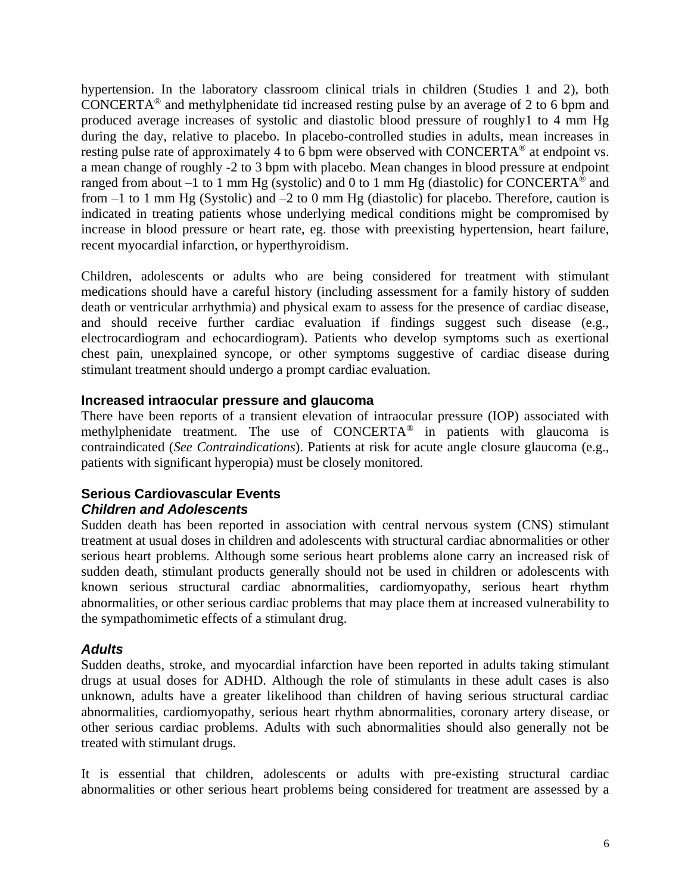hypertension. In the laboratory classroom clinical trials in children (Studies 1 and 2), both CONCERTA® and methylphenidate tid increased resting pulse by an average of 2 to 6 bpm and produced average increases of systolic and diastolic blood pressure of roughly1 to 4 mm Hg during the day, relative to placebo. In placebo-controlled studies in adults, mean increases in resting pulse rate of approximately 4 to 6 bpm were observed with CONCERTA<sup>®</sup> at endpoint vs. a mean change of roughly -2 to 3 bpm with placebo. Mean changes in blood pressure at endpoint ranged from about  $-1$  to 1 mm Hg (systolic) and 0 to 1 mm Hg (diastolic) for CONCERTA<sup>®</sup> and from  $-1$  to 1 mm Hg (Systolic) and  $-2$  to 0 mm Hg (diastolic) for placebo. Therefore, caution is indicated in treating patients whose underlying medical conditions might be compromised by increase in blood pressure or heart rate, eg. those with preexisting hypertension, heart failure, recent myocardial infarction, or hyperthyroidism.

Children, adolescents or adults who are being considered for treatment with stimulant medications should have a careful history (including assessment for a family history of sudden death or ventricular arrhythmia) and physical exam to assess for the presence of cardiac disease, and should receive further cardiac evaluation if findings suggest such disease (e.g., electrocardiogram and echocardiogram). Patients who develop symptoms such as exertional chest pain, unexplained syncope, or other symptoms suggestive of cardiac disease during stimulant treatment should undergo a prompt cardiac evaluation.

# **Increased intraocular pressure and glaucoma**

There have been reports of a transient elevation of intraocular pressure (IOP) associated with methylphenidate treatment. The use of  $CONCERTA<sup>®</sup>$  in patients with glaucoma is contraindicated (*See Contraindications*). Patients at risk for acute angle closure glaucoma (e.g., patients with significant hyperopia) must be closely monitored.

# **Serious Cardiovascular Events** *Children and Adolescents*

Sudden death has been reported in association with central nervous system (CNS) stimulant treatment at usual doses in children and adolescents with structural cardiac abnormalities or other serious heart problems. Although some serious heart problems alone carry an increased risk of sudden death, stimulant products generally should not be used in children or adolescents with known serious structural cardiac abnormalities, cardiomyopathy, serious heart rhythm abnormalities, or other serious cardiac problems that may place them at increased vulnerability to the sympathomimetic effects of a stimulant drug.

# *Adults*

Sudden deaths, stroke, and myocardial infarction have been reported in adults taking stimulant drugs at usual doses for ADHD. Although the role of stimulants in these adult cases is also unknown, adults have a greater likelihood than children of having serious structural cardiac abnormalities, cardiomyopathy, serious heart rhythm abnormalities, coronary artery disease, or other serious cardiac problems. Adults with such abnormalities should also generally not be treated with stimulant drugs.

It is essential that children, adolescents or adults with pre-existing structural cardiac abnormalities or other serious heart problems being considered for treatment are assessed by a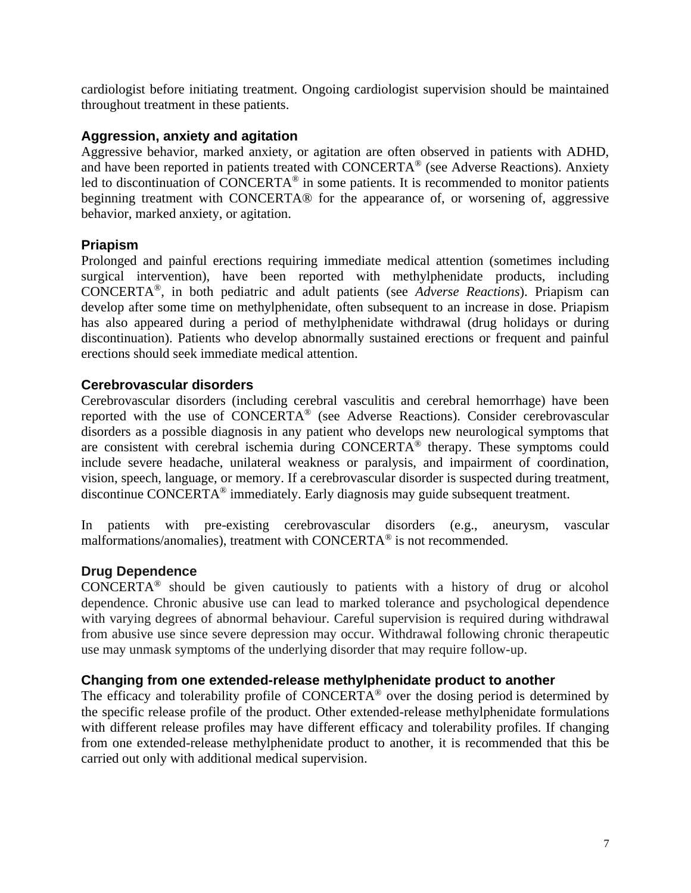cardiologist before initiating treatment. Ongoing cardiologist supervision should be maintained throughout treatment in these patients.

# **Aggression, anxiety and agitation**

Aggressive behavior, marked anxiety, or agitation are often observed in patients with ADHD, and have been reported in patients treated with CONCERTA® (see Adverse Reactions). Anxiety led to discontinuation of CONCERTA<sup>®</sup> in some patients. It is recommended to monitor patients beginning treatment with CONCERTA® for the appearance of, or worsening of, aggressive behavior, marked anxiety, or agitation.

# **Priapism**

Prolonged and painful erections requiring immediate medical attention (sometimes including surgical intervention), have been reported with methylphenidate products, including CONCERTA®, in both pediatric and adult patients (see *Adverse Reactions*). Priapism can develop after some time on methylphenidate, often subsequent to an increase in dose. Priapism has also appeared during a period of methylphenidate withdrawal (drug holidays or during discontinuation). Patients who develop abnormally sustained erections or frequent and painful erections should seek immediate medical attention.

# **Cerebrovascular disorders**

Cerebrovascular disorders (including cerebral vasculitis and cerebral hemorrhage) have been reported with the use of CONCERTA® (see Adverse Reactions). Consider cerebrovascular disorders as a possible diagnosis in any patient who develops new neurological symptoms that are consistent with cerebral ischemia during CONCERTA® therapy. These symptoms could include severe headache, unilateral weakness or paralysis, and impairment of coordination, vision, speech, language, or memory. If a cerebrovascular disorder is suspected during treatment, discontinue CONCERTA® immediately. Early diagnosis may guide subsequent treatment.

In patients with pre-existing cerebrovascular disorders (e.g., aneurysm, vascular malformations/anomalies), treatment with CONCERTA® is not recommended.

# **Drug Dependence**

CONCERTA® should be given cautiously to patients with a history of drug or alcohol dependence. Chronic abusive use can lead to marked tolerance and psychological dependence with varying degrees of abnormal behaviour. Careful supervision is required during withdrawal from abusive use since severe depression may occur. Withdrawal following chronic therapeutic use may unmask symptoms of the underlying disorder that may require follow-up.

# **Changing from one extended-release methylphenidate product to another**

The efficacy and tolerability profile of CONCERTA<sup>®</sup> over the dosing period is determined by the specific release profile of the product. Other extended-release methylphenidate formulations with different release profiles may have different efficacy and tolerability profiles. If changing from one extended-release methylphenidate product to another, it is recommended that this be carried out only with additional medical supervision.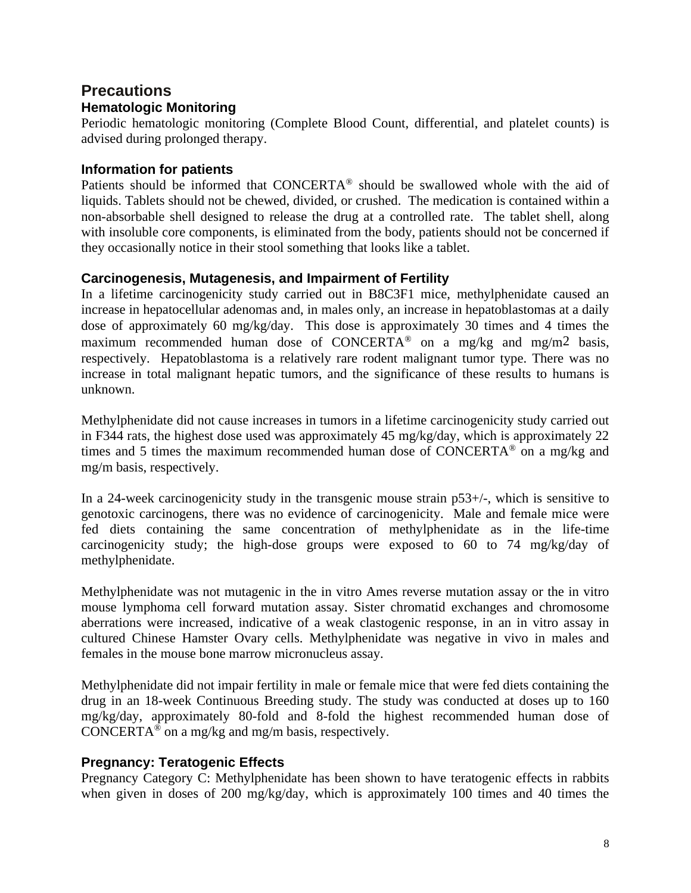# **Precautions Hematologic Monitoring**

Periodic hematologic monitoring (Complete Blood Count, differential, and platelet counts) is advised during prolonged therapy.

# **Information for patients**

Patients should be informed that CONCERTA® should be swallowed whole with the aid of liquids. Tablets should not be chewed, divided, or crushed. The medication is contained within a non-absorbable shell designed to release the drug at a controlled rate. The tablet shell, along with insoluble core components, is eliminated from the body, patients should not be concerned if they occasionally notice in their stool something that looks like a tablet.

# **Carcinogenesis, Mutagenesis, and Impairment of Fertility**

In a lifetime carcinogenicity study carried out in B8C3F1 mice, methylphenidate caused an increase in hepatocellular adenomas and, in males only, an increase in hepatoblastomas at a daily dose of approximately 60 mg/kg/day. This dose is approximately 30 times and 4 times the maximum recommended human dose of CONCERTA<sup>®</sup> on a mg/kg and mg/m<sup>2</sup> basis, respectively. Hepatoblastoma is a relatively rare rodent malignant tumor type. There was no increase in total malignant hepatic tumors, and the significance of these results to humans is unknown.

Methylphenidate did not cause increases in tumors in a lifetime carcinogenicity study carried out in F344 rats, the highest dose used was approximately 45 mg/kg/day, which is approximately 22 times and 5 times the maximum recommended human dose of CONCERTA® on a mg/kg and mg/m basis, respectively.

In a 24-week carcinogenicity study in the transgenic mouse strain  $p53+/-$ , which is sensitive to genotoxic carcinogens, there was no evidence of carcinogenicity. Male and female mice were fed diets containing the same concentration of methylphenidate as in the life-time carcinogenicity study; the high-dose groups were exposed to 60 to 74 mg/kg/day of methylphenidate.

Methylphenidate was not mutagenic in the in vitro Ames reverse mutation assay or the in vitro mouse lymphoma cell forward mutation assay. Sister chromatid exchanges and chromosome aberrations were increased, indicative of a weak clastogenic response, in an in vitro assay in cultured Chinese Hamster Ovary cells. Methylphenidate was negative in vivo in males and females in the mouse bone marrow micronucleus assay.

Methylphenidate did not impair fertility in male or female mice that were fed diets containing the drug in an 18-week Continuous Breeding study. The study was conducted at doses up to 160 mg/kg/day, approximately 80-fold and 8-fold the highest recommended human dose of CONCERTA<sup>®</sup> on a mg/kg and mg/m basis, respectively.

# **Pregnancy: Teratogenic Effects**

Pregnancy Category C: Methylphenidate has been shown to have teratogenic effects in rabbits when given in doses of 200 mg/kg/day, which is approximately 100 times and 40 times the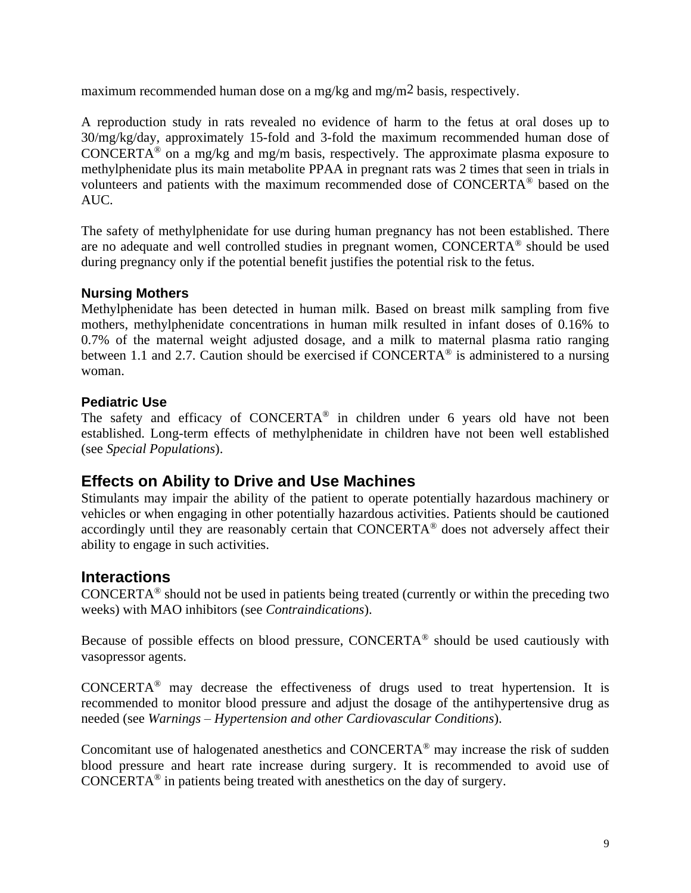maximum recommended human dose on a mg/kg and mg/m2 basis, respectively.

A reproduction study in rats revealed no evidence of harm to the fetus at oral doses up to 30/mg/kg/day, approximately 15-fold and 3-fold the maximum recommended human dose of CONCERTA<sup>®</sup> on a mg/kg and mg/m basis, respectively. The approximate plasma exposure to methylphenidate plus its main metabolite PPAA in pregnant rats was 2 times that seen in trials in volunteers and patients with the maximum recommended dose of CONCERTA® based on the AUC.

The safety of methylphenidate for use during human pregnancy has not been established. There are no adequate and well controlled studies in pregnant women, CONCERTA® should be used during pregnancy only if the potential benefit justifies the potential risk to the fetus.

# **Nursing Mothers**

Methylphenidate has been detected in human milk. Based on breast milk sampling from five mothers, methylphenidate concentrations in human milk resulted in infant doses of 0.16% to 0.7% of the maternal weight adjusted dosage, and a milk to maternal plasma ratio ranging between 1.1 and 2.7. Caution should be exercised if CONCERTA® is administered to a nursing woman.

# **Pediatric Use**

The safety and efficacy of CONCERTA® in children under 6 years old have not been established. Long-term effects of methylphenidate in children have not been well established (see *Special Populations*).

# **Effects on Ability to Drive and Use Machines**

Stimulants may impair the ability of the patient to operate potentially hazardous machinery or vehicles or when engaging in other potentially hazardous activities. Patients should be cautioned accordingly until they are reasonably certain that CONCERTA® does not adversely affect their ability to engage in such activities.

# **Interactions**

CONCERTA<sup>®</sup> should not be used in patients being treated (currently or within the preceding two weeks) with MAO inhibitors (see *Contraindications*).

Because of possible effects on blood pressure, CONCERTA<sup>®</sup> should be used cautiously with vasopressor agents.

CONCERTA® may decrease the effectiveness of drugs used to treat hypertension. It is recommended to monitor blood pressure and adjust the dosage of the antihypertensive drug as needed (see *Warnings – Hypertension and other Cardiovascular Conditions*).

Concomitant use of halogenated anesthetics and CONCERTA® may increase the risk of sudden blood pressure and heart rate increase during surgery. It is recommended to avoid use of CONCERTA<sup>®</sup> in patients being treated with anesthetics on the day of surgery.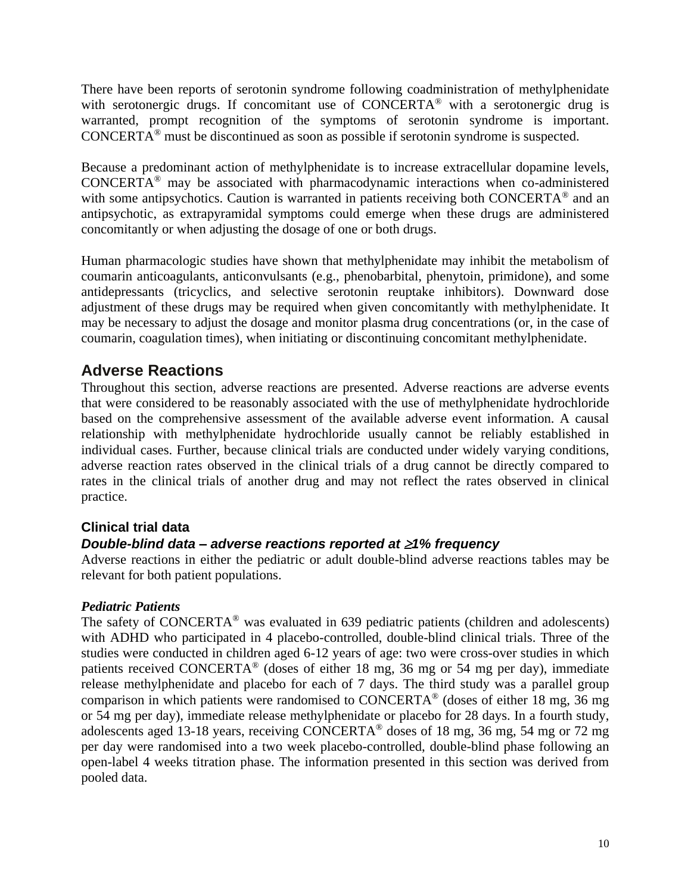There have been reports of serotonin syndrome following coadministration of methylphenidate with serotonergic drugs. If concomitant use of CONCERTA<sup>®</sup> with a serotonergic drug is warranted, prompt recognition of the symptoms of serotonin syndrome is important. CONCERTA® must be discontinued as soon as possible if serotonin syndrome is suspected.

Because a predominant action of methylphenidate is to increase extracellular dopamine levels, CONCERTA® may be associated with pharmacodynamic interactions when co-administered with some antipsychotics. Caution is warranted in patients receiving both CONCERTA<sup>®</sup> and an antipsychotic, as extrapyramidal symptoms could emerge when these drugs are administered concomitantly or when adjusting the dosage of one or both drugs.

Human pharmacologic studies have shown that methylphenidate may inhibit the metabolism of coumarin anticoagulants, anticonvulsants (e.g., phenobarbital, phenytoin, primidone), and some antidepressants (tricyclics, and selective serotonin reuptake inhibitors). Downward dose adjustment of these drugs may be required when given concomitantly with methylphenidate. It may be necessary to adjust the dosage and monitor plasma drug concentrations (or, in the case of coumarin, coagulation times), when initiating or discontinuing concomitant methylphenidate.

# **Adverse Reactions**

Throughout this section, adverse reactions are presented. Adverse reactions are adverse events that were considered to be reasonably associated with the use of methylphenidate hydrochloride based on the comprehensive assessment of the available adverse event information. A causal relationship with methylphenidate hydrochloride usually cannot be reliably established in individual cases. Further, because clinical trials are conducted under widely varying conditions, adverse reaction rates observed in the clinical trials of a drug cannot be directly compared to rates in the clinical trials of another drug and may not reflect the rates observed in clinical practice.

# **Clinical trial data**

# *Double-blind data – adverse reactions reported at 1% frequency*

Adverse reactions in either the pediatric or adult double-blind adverse reactions tables may be relevant for both patient populations.

# *Pediatric Patients*

The safety of CONCERTA<sup>®</sup> was evaluated in 639 pediatric patients (children and adolescents) with ADHD who participated in 4 placebo-controlled, double-blind clinical trials. Three of the studies were conducted in children aged 6-12 years of age: two were cross-over studies in which patients received CONCERTA® (doses of either 18 mg, 36 mg or 54 mg per day), immediate release methylphenidate and placebo for each of 7 days. The third study was a parallel group comparison in which patients were randomised to CONCERTA<sup>®</sup> (doses of either 18 mg, 36 mg) or 54 mg per day), immediate release methylphenidate or placebo for 28 days. In a fourth study, adolescents aged 13-18 years, receiving CONCERTA® doses of 18 mg, 36 mg, 54 mg or 72 mg per day were randomised into a two week placebo-controlled, double-blind phase following an open-label 4 weeks titration phase. The information presented in this section was derived from pooled data.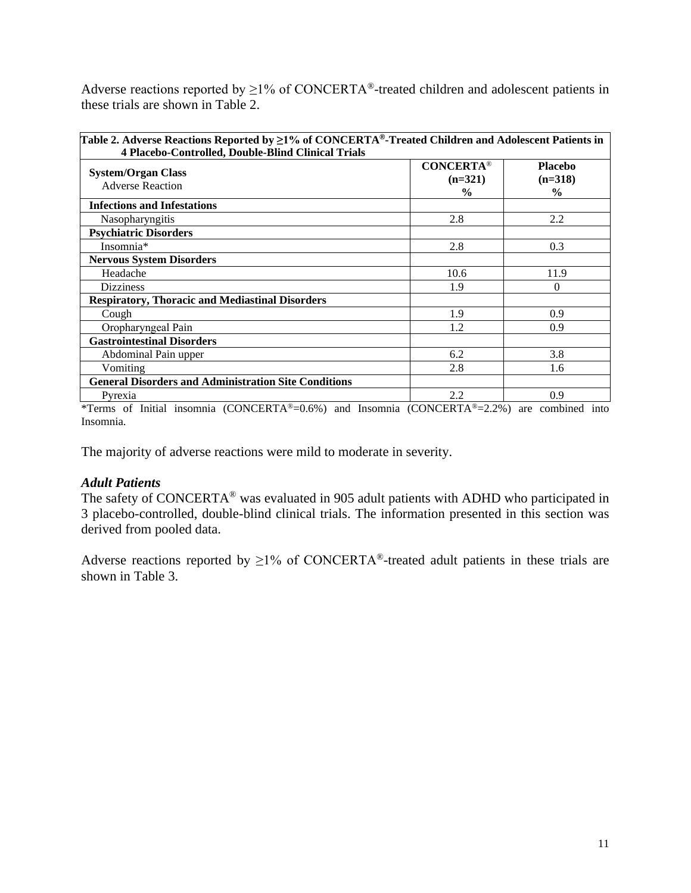Adverse reactions reported by  $\geq$ 1% of CONCERTA<sup>®</sup>-treated children and adolescent patients in these trials are shown in Table 2.

| Table 2. Adverse Reactions Reported by $\geq$ 1% of CONCERTA®-Treated Children and Adolescent Patients in<br>4 Placebo-Controlled, Double-Blind Clinical Trials |                                                |                                              |  |
|-----------------------------------------------------------------------------------------------------------------------------------------------------------------|------------------------------------------------|----------------------------------------------|--|
| <b>System/Organ Class</b><br><b>Adverse Reaction</b>                                                                                                            | <b>CONCERTA®</b><br>$(n=321)$<br>$\frac{0}{0}$ | <b>Placebo</b><br>$(n=318)$<br>$\frac{0}{0}$ |  |
| <b>Infections and Infestations</b>                                                                                                                              |                                                |                                              |  |
| Nasopharyngitis                                                                                                                                                 | 2.8                                            | 2.2                                          |  |
| <b>Psychiatric Disorders</b>                                                                                                                                    |                                                |                                              |  |
| Insomnia*                                                                                                                                                       | 2.8                                            | 0.3                                          |  |
| <b>Nervous System Disorders</b>                                                                                                                                 |                                                |                                              |  |
| Headache                                                                                                                                                        | 10.6                                           | 11.9                                         |  |
| <b>Dizziness</b>                                                                                                                                                | 1.9                                            | 0                                            |  |
| <b>Respiratory, Thoracic and Mediastinal Disorders</b>                                                                                                          |                                                |                                              |  |
| Cough                                                                                                                                                           | 1.9                                            | 0.9                                          |  |
| Oropharyngeal Pain                                                                                                                                              | 1.2                                            | 0.9                                          |  |
| <b>Gastrointestinal Disorders</b>                                                                                                                               |                                                |                                              |  |
| Abdominal Pain upper                                                                                                                                            | 6.2                                            | 3.8                                          |  |
| Vomiting                                                                                                                                                        | 2.8                                            | 1.6                                          |  |
| <b>General Disorders and Administration Site Conditions</b>                                                                                                     |                                                |                                              |  |
| Pyrexia                                                                                                                                                         | 2.2                                            | 0.9                                          |  |

\*Terms of Initial insomnia (CONCERTA®=0.6%) and Insomnia (CONCERTA®=2.2%) are combined into Insomnia.

The majority of adverse reactions were mild to moderate in severity.

#### *Adult Patients*

The safety of CONCERTA® was evaluated in 905 adult patients with ADHD who participated in 3 placebo-controlled, double-blind clinical trials. The information presented in this section was derived from pooled data.

Adverse reactions reported by  $\geq$ 1% of CONCERTA<sup>®</sup>-treated adult patients in these trials are shown in Table 3.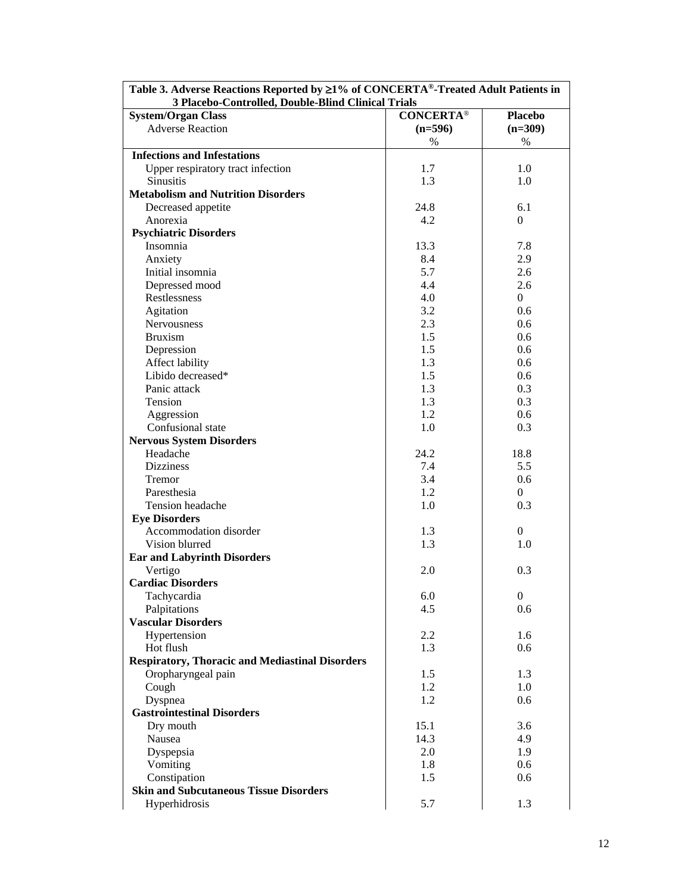| Table 3. Adverse Reactions Reported by ≥1% of CONCERTA®-Treated Adult Patients in<br>3 Placebo-Controlled, Double-Blind Clinical Trials |                   |                  |
|-----------------------------------------------------------------------------------------------------------------------------------------|-------------------|------------------|
| <b>System/Organ Class</b>                                                                                                               | <b>CONCERTA®</b>  | <b>Placebo</b>   |
| <b>Adverse Reaction</b>                                                                                                                 |                   |                  |
|                                                                                                                                         | $(n=596)$<br>$\%$ | $(n=309)$        |
| <b>Infections and Infestations</b>                                                                                                      |                   | %                |
|                                                                                                                                         |                   |                  |
| Upper respiratory tract infection<br><b>Sinusitis</b>                                                                                   | 1.7               | 1.0              |
| <b>Metabolism and Nutrition Disorders</b>                                                                                               | 1.3               | 1.0              |
| Decreased appetite                                                                                                                      | 24.8              | 6.1              |
| Anorexia                                                                                                                                | 4.2               | $\Omega$         |
| <b>Psychiatric Disorders</b>                                                                                                            |                   |                  |
| Insomnia                                                                                                                                | 13.3              | 7.8              |
| Anxiety                                                                                                                                 | 8.4               | 2.9              |
| Initial insomnia                                                                                                                        | 5.7               | 2.6              |
| Depressed mood                                                                                                                          | 4.4               | 2.6              |
| Restlessness                                                                                                                            | 4.0               | $\overline{0}$   |
| Agitation                                                                                                                               | 3.2               | 0.6              |
| Nervousness                                                                                                                             | 2.3               | 0.6              |
| <b>Bruxism</b>                                                                                                                          | 1.5               | 0.6              |
|                                                                                                                                         | 1.5               |                  |
| Depression                                                                                                                              |                   | 0.6              |
| Affect lability<br>Libido decreased*                                                                                                    | 1.3<br>1.5        | 0.6<br>0.6       |
|                                                                                                                                         |                   |                  |
| Panic attack                                                                                                                            | 1.3               | 0.3              |
| Tension                                                                                                                                 | 1.3<br>1.2        | 0.3              |
| Aggression                                                                                                                              |                   | 0.6              |
| Confusional state                                                                                                                       | 1.0               | 0.3              |
| <b>Nervous System Disorders</b>                                                                                                         |                   |                  |
| Headache                                                                                                                                | 24.2              | 18.8             |
| <b>Dizziness</b>                                                                                                                        | 7.4               | 5.5              |
| Tremor                                                                                                                                  | 3.4               | 0.6              |
| Paresthesia                                                                                                                             | 1.2               | $\Omega$         |
| Tension headache                                                                                                                        | 1.0               | 0.3              |
| <b>Eye Disorders</b>                                                                                                                    |                   |                  |
| Accommodation disorder                                                                                                                  | 1.3               | $\boldsymbol{0}$ |
| Vision blurred                                                                                                                          | 1.3               | 1.0              |
| <b>Ear and Labyrinth Disorders</b>                                                                                                      |                   |                  |
| Vertigo                                                                                                                                 | 2.0               | 0.3              |
| <b>Cardiac Disorders</b>                                                                                                                |                   |                  |
| Tachycardia                                                                                                                             | 6.0               | $\boldsymbol{0}$ |
| Palpitations                                                                                                                            | 4.5               | 0.6              |
| <b>Vascular Disorders</b>                                                                                                               |                   |                  |
| Hypertension                                                                                                                            | 2.2               | 1.6              |
| Hot flush                                                                                                                               | 1.3               | 0.6              |
| <b>Respiratory, Thoracic and Mediastinal Disorders</b>                                                                                  |                   |                  |
| Oropharyngeal pain                                                                                                                      | 1.5               | 1.3              |
| Cough                                                                                                                                   | 1.2               | 1.0              |
| Dyspnea                                                                                                                                 | 1.2               | 0.6              |
| <b>Gastrointestinal Disorders</b>                                                                                                       |                   |                  |
| Dry mouth                                                                                                                               | 15.1              | 3.6              |
| Nausea                                                                                                                                  | 14.3              | 4.9              |
| Dyspepsia                                                                                                                               | 2.0               | 1.9              |
| Vomiting                                                                                                                                | 1.8               | 0.6              |
| Constipation                                                                                                                            | 1.5               | 0.6              |
| <b>Skin and Subcutaneous Tissue Disorders</b>                                                                                           |                   |                  |
| Hyperhidrosis                                                                                                                           | 5.7               | 1.3              |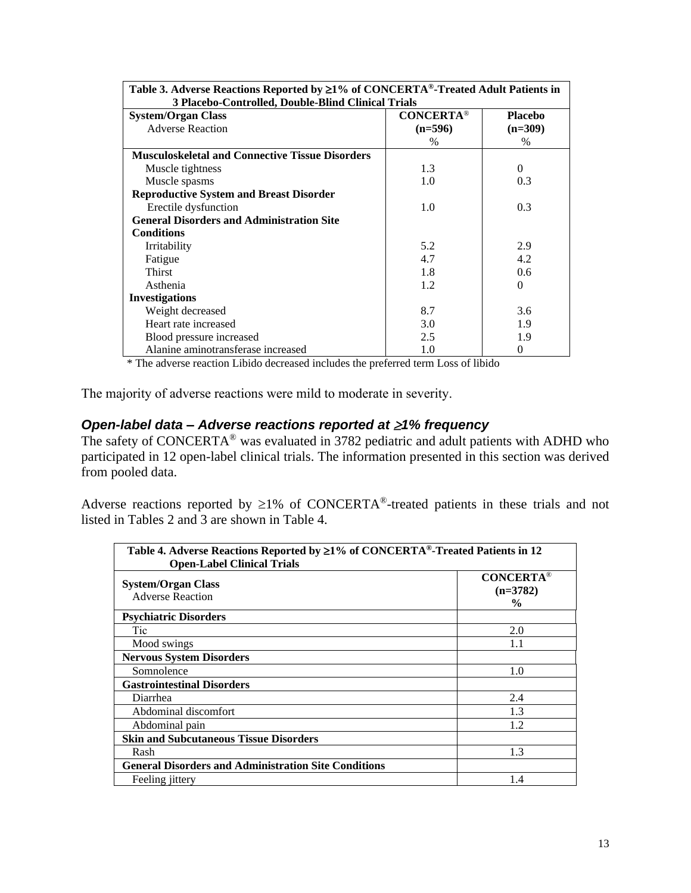| Table 3. Adverse Reactions Reported by ≥1% of CONCERTA®-Treated Adult Patients in |                  |                  |
|-----------------------------------------------------------------------------------|------------------|------------------|
| 3 Placebo-Controlled, Double-Blind Clinical Trials                                |                  |                  |
| <b>System/Organ Class</b>                                                         | <b>CONCERTA®</b> | <b>Placebo</b>   |
| <b>Adverse Reaction</b>                                                           | $(n=596)$        | $(n=309)$        |
|                                                                                   | $\%$             | $\frac{0}{0}$    |
| <b>Musculoskeletal and Connective Tissue Disorders</b>                            |                  |                  |
| Muscle tightness                                                                  | 1.3              | $\Omega$         |
| Muscle spasms                                                                     | 1.0              | 0.3 <sup>2</sup> |
| <b>Reproductive System and Breast Disorder</b>                                    |                  |                  |
| Erectile dysfunction                                                              | 1.0              | 0.3              |
| <b>General Disorders and Administration Site</b>                                  |                  |                  |
| <b>Conditions</b>                                                                 |                  |                  |
| Irritability                                                                      | 5.2              | 2.9              |
| Fatigue                                                                           | 4.7              | 4.2              |
| Thirst                                                                            | 1.8              | 0.6              |
| Asthenia                                                                          | 1.2              | $\Omega$         |
| <b>Investigations</b>                                                             |                  |                  |
| Weight decreased                                                                  | 8.7              | 3.6              |
| Heart rate increased                                                              | 3.0              | 1.9              |
| Blood pressure increased                                                          | 2.5              | 1.9              |
| Alanine aminotransferase increased                                                | 1.0              | 0                |

\* The adverse reaction Libido decreased includes the preferred term Loss of libido

The majority of adverse reactions were mild to moderate in severity.

# *Open-label data – Adverse reactions reported at 1% frequency*

The safety of CONCERTA® was evaluated in 3782 pediatric and adult patients with ADHD who participated in 12 open-label clinical trials. The information presented in this section was derived from pooled data.

Adverse reactions reported by  $\geq 1\%$  of CONCERTA<sup>®</sup>-treated patients in these trials and not listed in Tables 2 and 3 are shown in Table 4.

| Table 4. Adverse Reactions Reported by ≥1% of CONCERTA®-Treated Patients in 12<br><b>Open-Label Clinical Trials</b> |                                                 |  |
|---------------------------------------------------------------------------------------------------------------------|-------------------------------------------------|--|
| <b>System/Organ Class</b><br><b>Adverse Reaction</b>                                                                | <b>CONCERTA®</b><br>$(n=3782)$<br>$\frac{0}{0}$ |  |
| <b>Psychiatric Disorders</b>                                                                                        |                                                 |  |
| Tic                                                                                                                 | 2.0                                             |  |
| Mood swings                                                                                                         | 1.1                                             |  |
| <b>Nervous System Disorders</b>                                                                                     |                                                 |  |
| Somnolence                                                                                                          | 1.0                                             |  |
| <b>Gastrointestinal Disorders</b>                                                                                   |                                                 |  |
| Diarrhea                                                                                                            | 2.4                                             |  |
| Abdominal discomfort                                                                                                | 1.3                                             |  |
| Abdominal pain                                                                                                      | 1.2                                             |  |
| <b>Skin and Subcutaneous Tissue Disorders</b>                                                                       |                                                 |  |
| Rash                                                                                                                | 1.3                                             |  |
| <b>General Disorders and Administration Site Conditions</b>                                                         |                                                 |  |
| Feeling jittery                                                                                                     | 1.4                                             |  |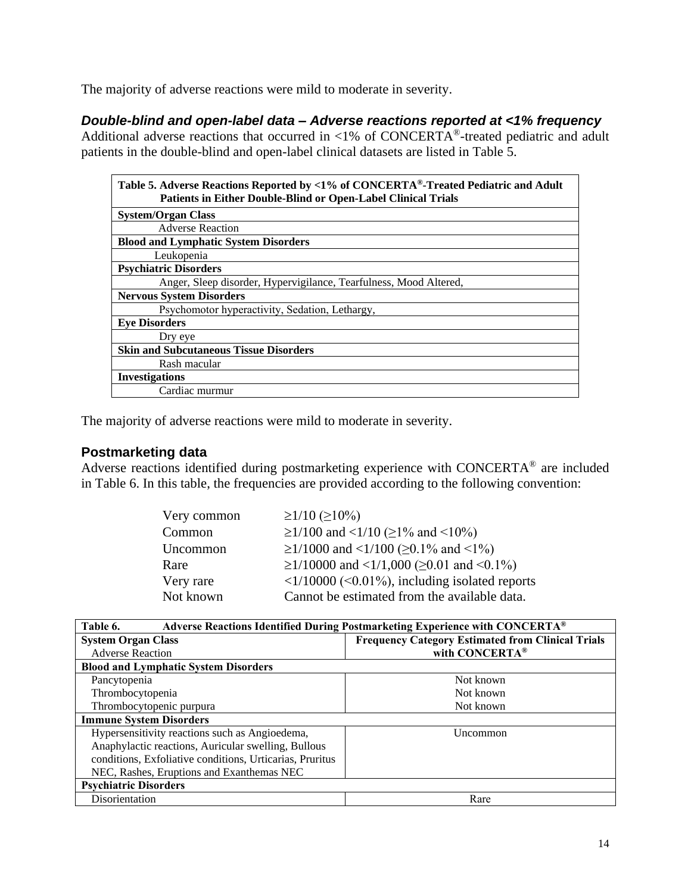The majority of adverse reactions were mild to moderate in severity.

# *Double-blind and open-label data – Adverse reactions reported at <1% frequency*

Additional adverse reactions that occurred in  $\langle 1\% \rangle$  of CONCERTA®-treated pediatric and adult patients in the double-blind and open-label clinical datasets are listed in Table 5.

| Table 5. Adverse Reactions Reported by <1% of CONCERTA®-Treated Pediatric and Adult<br><b>Patients in Either Double-Blind or Open-Label Clinical Trials</b> |
|-------------------------------------------------------------------------------------------------------------------------------------------------------------|
| <b>System/Organ Class</b>                                                                                                                                   |
| <b>Adverse Reaction</b>                                                                                                                                     |
| <b>Blood and Lymphatic System Disorders</b>                                                                                                                 |
| Leukopenia                                                                                                                                                  |
| <b>Psychiatric Disorders</b>                                                                                                                                |
| Anger, Sleep disorder, Hypervigilance, Tearfulness, Mood Altered,                                                                                           |
| <b>Nervous System Disorders</b>                                                                                                                             |
| Psychomotor hyperactivity, Sedation, Lethargy,                                                                                                              |
| <b>Eve Disorders</b>                                                                                                                                        |
| Dry eye                                                                                                                                                     |
| <b>Skin and Subcutaneous Tissue Disorders</b>                                                                                                               |
| Rash macular                                                                                                                                                |
| <b>Investigations</b>                                                                                                                                       |
| Cardiac murmur                                                                                                                                              |

The majority of adverse reactions were mild to moderate in severity.

# **Postmarketing data**

Adverse reactions identified during postmarketing experience with CONCERTA® are included in Table 6. In this table, the frequencies are provided according to the following convention:

| Very common | $\geq$ 1/10 (≥10%)                                                         |
|-------------|----------------------------------------------------------------------------|
| Common      | $\geq$ 1/100 and <1/10 ( $\geq$ 1% and <10%)                               |
| Uncommon    | $\geq$ 1/1000 and <1/100 ( $\geq$ 0.1% and <1%)                            |
| Rare        | $\geq$ 1/10000 and <1/1,000 ( $\geq$ 0.01 and <0.1%)                       |
| Very rare   | $\langle 1/10000 \rangle$ ( $\langle 0.01\%$ ), including isolated reports |
| Not known   | Cannot be estimated from the available data.                               |

| Table 6.<br>Adverse Reactions Identified During Postmarketing Experience with CONCERTA® |                                                          |  |
|-----------------------------------------------------------------------------------------|----------------------------------------------------------|--|
| <b>System Organ Class</b>                                                               | <b>Frequency Category Estimated from Clinical Trials</b> |  |
| <b>Adverse Reaction</b>                                                                 | with CONCERTA®                                           |  |
| <b>Blood and Lymphatic System Disorders</b>                                             |                                                          |  |
| Pancytopenia                                                                            | Not known                                                |  |
| Thrombocytopenia                                                                        | Not known                                                |  |
| Thrombocytopenic purpura                                                                | Not known                                                |  |
| <b>Immune System Disorders</b>                                                          |                                                          |  |
| Hypersensitivity reactions such as Angioedema,                                          | Uncommon                                                 |  |
| Anaphylactic reactions, Auricular swelling, Bullous                                     |                                                          |  |
| conditions, Exfoliative conditions, Urticarias, Pruritus                                |                                                          |  |
| NEC, Rashes, Eruptions and Exanthemas NEC                                               |                                                          |  |
| <b>Psychiatric Disorders</b>                                                            |                                                          |  |
| Disorientation                                                                          | Rare                                                     |  |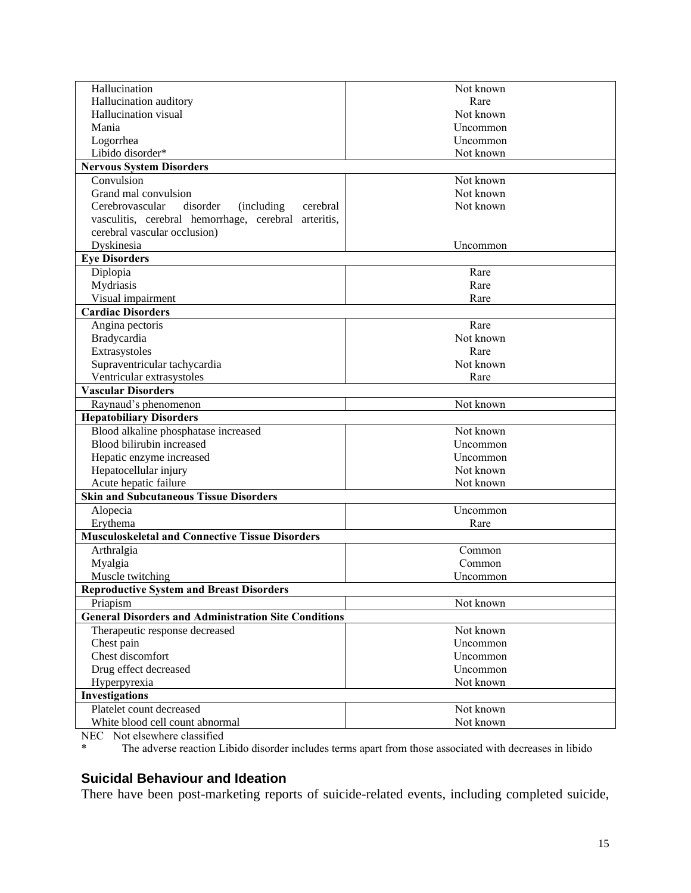| Hallucination                                               | Not known |
|-------------------------------------------------------------|-----------|
| Hallucination auditory                                      | Rare      |
| Hallucination visual                                        | Not known |
| Mania                                                       | Uncommon  |
| Logorrhea                                                   | Uncommon  |
| Libido disorder*                                            | Not known |
| <b>Nervous System Disorders</b>                             |           |
| Convulsion                                                  | Not known |
| Grand mal convulsion                                        | Not known |
| Cerebrovascular<br>disorder<br>(including)<br>cerebral      | Not known |
| vasculitis, cerebral hemorrhage, cerebral arteritis,        |           |
| cerebral vascular occlusion)                                |           |
| Dyskinesia                                                  | Uncommon  |
| <b>Eye Disorders</b>                                        |           |
| Diplopia                                                    | Rare      |
| Mydriasis                                                   | Rare      |
| Visual impairment                                           | Rare      |
| <b>Cardiac Disorders</b>                                    |           |
| Angina pectoris                                             | Rare      |
| Bradycardia                                                 | Not known |
| Extrasystoles                                               | Rare      |
| Supraventricular tachycardia                                | Not known |
| Ventricular extrasystoles                                   | Rare      |
| <b>Vascular Disorders</b>                                   |           |
| Raynaud's phenomenon                                        | Not known |
| <b>Hepatobiliary Disorders</b>                              |           |
| Blood alkaline phosphatase increased                        | Not known |
| Blood bilirubin increased                                   | Uncommon  |
| Hepatic enzyme increased                                    | Uncommon  |
| Hepatocellular injury                                       | Not known |
| Acute hepatic failure                                       | Not known |
| <b>Skin and Subcutaneous Tissue Disorders</b>               |           |
| Alopecia                                                    | Uncommon  |
| Erythema                                                    | Rare      |
| <b>Musculoskeletal and Connective Tissue Disorders</b>      |           |
| Arthralgia                                                  | Common    |
| Myalgia                                                     | Common    |
| Muscle twitching                                            | Uncommon  |
| <b>Reproductive System and Breast Disorders</b>             |           |
| Priapism                                                    | Not known |
| <b>General Disorders and Administration Site Conditions</b> |           |
| Therapeutic response decreased                              | Not known |
| Chest pain                                                  | Uncommon  |
| Chest discomfort                                            | Uncommon  |
| Drug effect decreased                                       | Uncommon  |
| Hyperpyrexia                                                | Not known |
|                                                             |           |
| Investigations                                              |           |
| Platelet count decreased                                    | Not known |
| White blood cell count abnormal                             | Not known |

NEC Not elsewhere classified<br>
\* The education I

The adverse reaction Libido disorder includes terms apart from those associated with decreases in libido

# **Suicidal Behaviour and Ideation**

There have been post-marketing reports of suicide-related events, including completed suicide,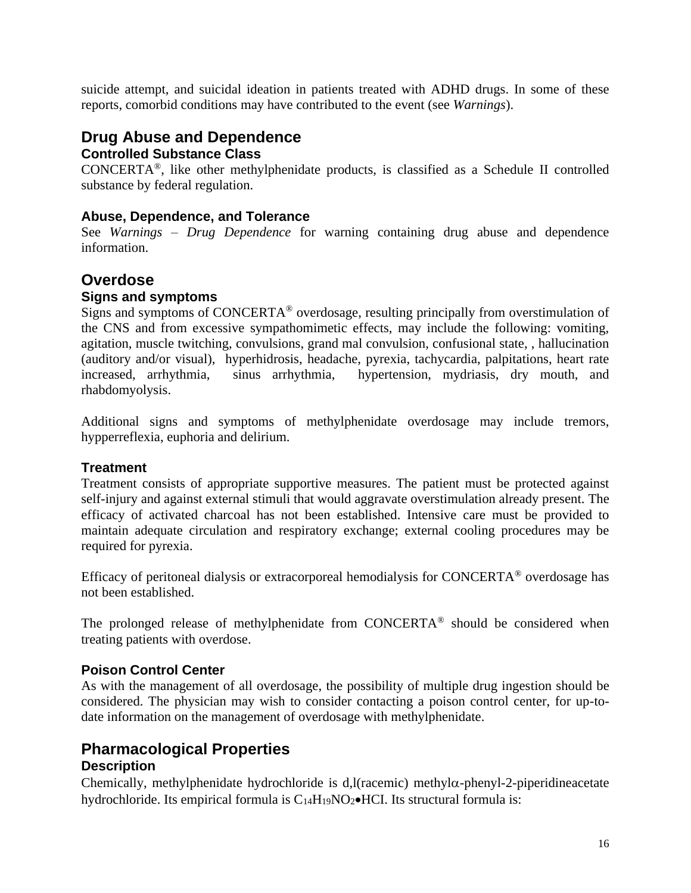suicide attempt, and suicidal ideation in patients treated with ADHD drugs. In some of these reports, comorbid conditions may have contributed to the event (see *Warnings*).

# **Drug Abuse and Dependence**

# **Controlled Substance Class**

CONCERTA®, like other methylphenidate products, is classified as a Schedule II controlled substance by federal regulation.

# **Abuse, Dependence, and Tolerance**

See *Warnings – Drug Dependence* for warning containing drug abuse and dependence information.

# **Overdose**

# **Signs and symptoms**

Signs and symptoms of CONCERTA® overdosage, resulting principally from overstimulation of the CNS and from excessive sympathomimetic effects, may include the following: vomiting, agitation, muscle twitching, convulsions, grand mal convulsion, confusional state, , hallucination (auditory and/or visual), hyperhidrosis, headache, pyrexia, tachycardia, palpitations, heart rate increased, arrhythmia, sinus arrhythmia, hypertension, mydriasis, dry mouth, and rhabdomyolysis.

Additional signs and symptoms of methylphenidate overdosage may include tremors, hypperreflexia, euphoria and delirium.

# **Treatment**

Treatment consists of appropriate supportive measures. The patient must be protected against self-injury and against external stimuli that would aggravate overstimulation already present. The efficacy of activated charcoal has not been established. Intensive care must be provided to maintain adequate circulation and respiratory exchange; external cooling procedures may be required for pyrexia.

Efficacy of peritoneal dialysis or extracorporeal hemodialysis for CONCERTA® overdosage has not been established.

The prolonged release of methylphenidate from CONCERTA® should be considered when treating patients with overdose.

# **Poison Control Center**

As with the management of all overdosage, the possibility of multiple drug ingestion should be considered. The physician may wish to consider contacting a poison control center, for up-todate information on the management of overdosage with methylphenidate.

# **Pharmacological Properties Description**

Chemically, methylphenidate hydrochloride is d,l(racemic) methyl $\alpha$ -phenyl-2-piperidineacetate hydrochloride. Its empirical formula is C<sub>14</sub>H<sub>19</sub>NO<sub>2</sub>•HCI. Its structural formula is: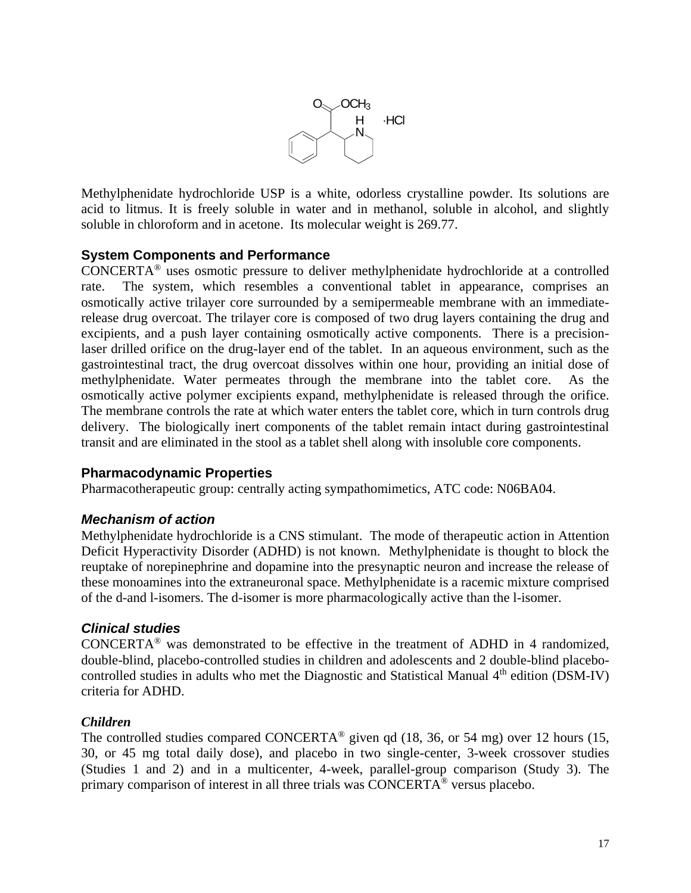

Methylphenidate hydrochloride USP is a white, odorless crystalline powder. Its solutions are acid to litmus. It is freely soluble in water and in methanol, soluble in alcohol, and slightly soluble in chloroform and in acetone. Its molecular weight is 269.77.

# **System Components and Performance**

CONCERTA® uses osmotic pressure to deliver methylphenidate hydrochloride at a controlled rate. The system, which resembles a conventional tablet in appearance, comprises an osmotically active trilayer core surrounded by a semipermeable membrane with an immediaterelease drug overcoat. The trilayer core is composed of two drug layers containing the drug and excipients, and a push layer containing osmotically active components. There is a precisionlaser drilled orifice on the drug-layer end of the tablet. In an aqueous environment, such as the gastrointestinal tract, the drug overcoat dissolves within one hour, providing an initial dose of methylphenidate. Water permeates through the membrane into the tablet core. As the osmotically active polymer excipients expand, methylphenidate is released through the orifice. The membrane controls the rate at which water enters the tablet core, which in turn controls drug delivery. The biologically inert components of the tablet remain intact during gastrointestinal transit and are eliminated in the stool as a tablet shell along with insoluble core components.

# **Pharmacodynamic Properties**

Pharmacotherapeutic group: centrally acting sympathomimetics, ATC code: N06BA04.

# *Mechanism of action*

Methylphenidate hydrochloride is a CNS stimulant. The mode of therapeutic action in Attention Deficit Hyperactivity Disorder (ADHD) is not known. Methylphenidate is thought to block the reuptake of norepinephrine and dopamine into the presynaptic neuron and increase the release of these monoamines into the extraneuronal space. Methylphenidate is a racemic mixture comprised of the d-and l-isomers. The d-isomer is more pharmacologically active than the l-isomer.

#### *Clinical studies*

CONCERTA® was demonstrated to be effective in the treatment of ADHD in 4 randomized, double-blind, placebo-controlled studies in children and adolescents and 2 double-blind placebocontrolled studies in adults who met the Diagnostic and Statistical Manual  $4<sup>th</sup>$  edition (DSM-IV) criteria for ADHD.

#### *Children*

The controlled studies compared CONCERTA<sup>®</sup> given qd (18, 36, or 54 mg) over 12 hours (15, 30, or 45 mg total daily dose), and placebo in two single-center, 3-week crossover studies (Studies 1 and 2) and in a multicenter, 4-week, parallel-group comparison (Study 3). The primary comparison of interest in all three trials was CONCERTA® versus placebo.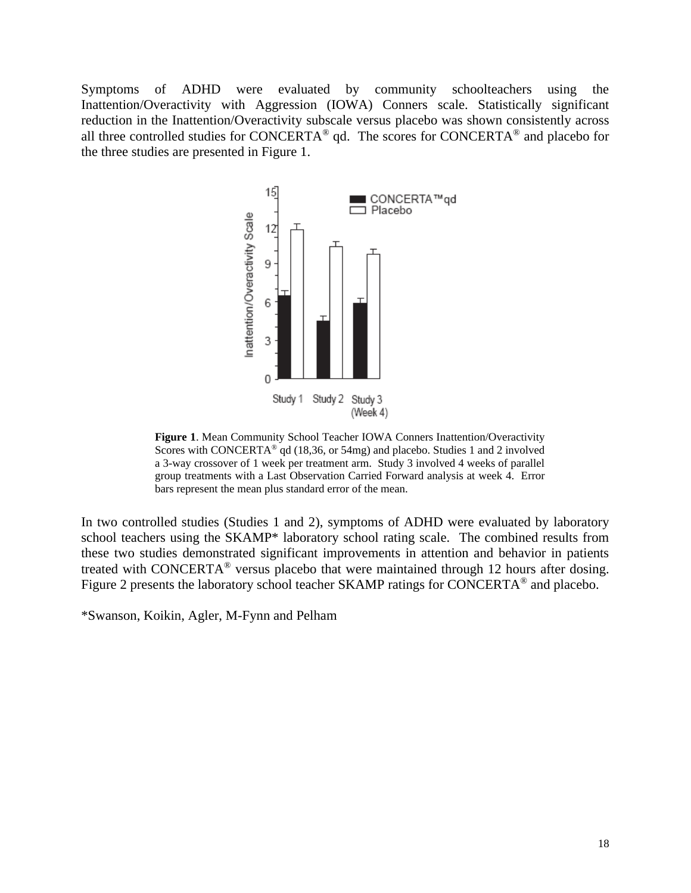Symptoms of ADHD were evaluated by community schoolteachers using the Inattention/Overactivity with Aggression (IOWA) Conners scale. Statistically significant reduction in the Inattention/Overactivity subscale versus placebo was shown consistently across all three controlled studies for CONCERTA® qd. The scores for CONCERTA® and placebo for the three studies are presented in Figure 1.



**Figure 1**. Mean Community School Teacher IOWA Conners Inattention/Overactivity Scores with CONCERTA<sup>®</sup> qd (18,36, or 54mg) and placebo. Studies 1 and 2 involved a 3-way crossover of 1 week per treatment arm. Study 3 involved 4 weeks of parallel group treatments with a Last Observation Carried Forward analysis at week 4. Error bars represent the mean plus standard error of the mean.

In two controlled studies (Studies 1 and 2), symptoms of ADHD were evaluated by laboratory school teachers using the SKAMP\* laboratory school rating scale. The combined results from these two studies demonstrated significant improvements in attention and behavior in patients treated with CONCERTA® versus placebo that were maintained through 12 hours after dosing. Figure 2 presents the laboratory school teacher SKAMP ratings for CONCERTA<sup>®</sup> and placebo.

\*Swanson, Koikin, Agler, M-Fynn and Pelham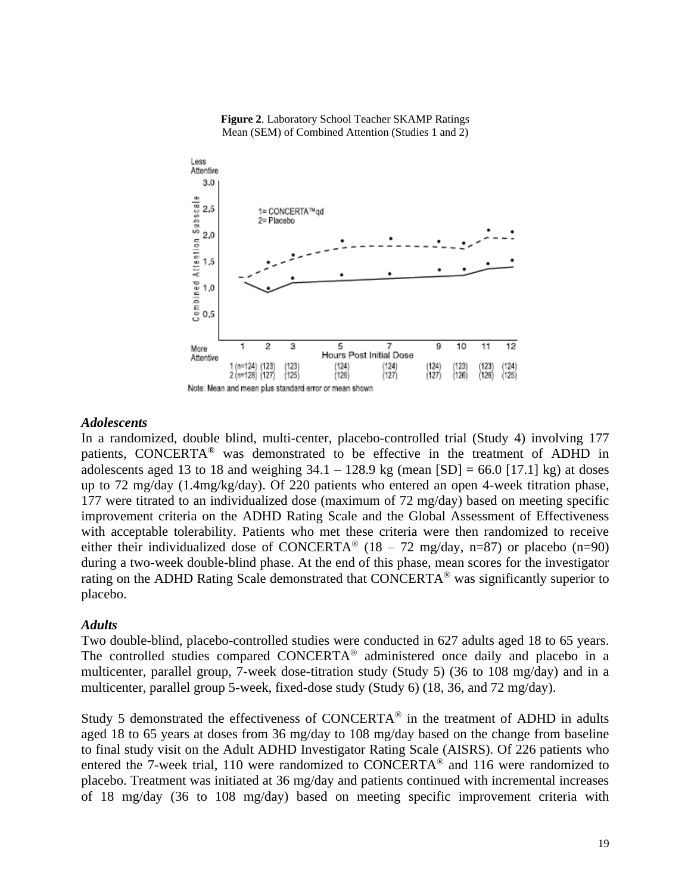

**Figure 2**. Laboratory School Teacher SKAMP Ratings Mean (SEM) of Combined Attention (Studies 1 and 2)

#### *Adolescents*

In a randomized, double blind, multi-center, placebo-controlled trial (Study 4) involving 177 patients, CONCERTA® was demonstrated to be effective in the treatment of ADHD in adolescents aged 13 to 18 and weighing  $34.1 - 128.9$  kg (mean  $[SD] = 66.0$   $[17.1]$  kg) at doses up to 72 mg/day (1.4mg/kg/day). Of 220 patients who entered an open 4-week titration phase, 177 were titrated to an individualized dose (maximum of 72 mg/day) based on meeting specific improvement criteria on the ADHD Rating Scale and the Global Assessment of Effectiveness with acceptable tolerability. Patients who met these criteria were then randomized to receive either their individualized dose of CONCERTA<sup>®</sup> (18 – 72 mg/day, n=87) or placebo (n=90) during a two-week double-blind phase. At the end of this phase, mean scores for the investigator rating on the ADHD Rating Scale demonstrated that CONCERTA® was significantly superior to placebo.

#### *Adults*

Two double-blind, placebo-controlled studies were conducted in 627 adults aged 18 to 65 years. The controlled studies compared CONCERTA® administered once daily and placebo in a multicenter, parallel group, 7-week dose-titration study (Study 5) (36 to 108 mg/day) and in a multicenter, parallel group 5-week, fixed-dose study (Study 6) (18, 36, and 72 mg/day).

Study 5 demonstrated the effectiveness of CONCERTA<sup>®</sup> in the treatment of ADHD in adults aged 18 to 65 years at doses from 36 mg/day to 108 mg/day based on the change from baseline to final study visit on the Adult ADHD Investigator Rating Scale (AISRS). Of 226 patients who entered the 7-week trial, 110 were randomized to CONCERTA® and 116 were randomized to placebo. Treatment was initiated at 36 mg/day and patients continued with incremental increases of 18 mg/day (36 to 108 mg/day) based on meeting specific improvement criteria with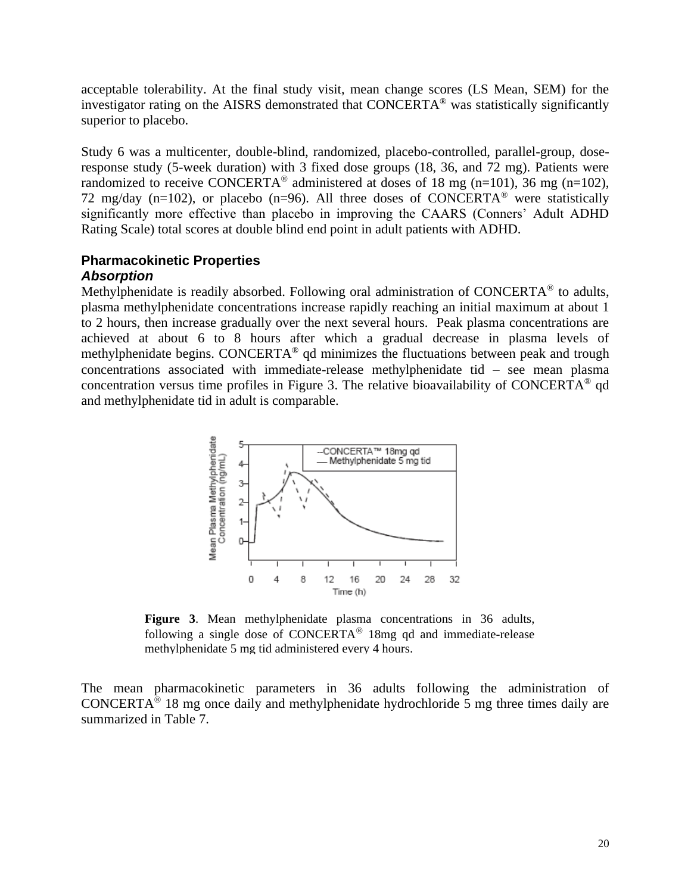acceptable tolerability. At the final study visit, mean change scores (LS Mean, SEM) for the investigator rating on the AISRS demonstrated that CONCERTA® was statistically significantly superior to placebo.

Study 6 was a multicenter, double-blind, randomized, placebo-controlled, parallel-group, doseresponse study (5-week duration) with 3 fixed dose groups (18, 36, and 72 mg). Patients were randomized to receive CONCERTA<sup>®</sup> administered at doses of 18 mg (n=101), 36 mg (n=102), 72 mg/day (n=102), or placebo (n=96). All three doses of CONCERTA<sup>®</sup> were statistically significantly more effective than placebo in improving the CAARS (Conners' Adult ADHD Rating Scale) total scores at double blind end point in adult patients with ADHD.

# **Pharmacokinetic Properties** *Absorption*

Methylphenidate is readily absorbed. Following oral administration of CONCERTA<sup>®</sup> to adults, plasma methylphenidate concentrations increase rapidly reaching an initial maximum at about 1 to 2 hours, then increase gradually over the next several hours. Peak plasma concentrations are achieved at about 6 to 8 hours after which a gradual decrease in plasma levels of methylphenidate begins. CONCERTA® qd minimizes the fluctuations between peak and trough concentrations associated with immediate-release methylphenidate tid – see mean plasma concentration versus time profiles in Figure 3. The relative bioavailability of CONCERTA® qd and methylphenidate tid in adult is comparable.



**Figure 3**. Mean methylphenidate plasma concentrations in 36 adults, following a single dose of CONCERTA<sup>®</sup> 18mg ad and immediate-release methylphenidate 5 mg tid administered every 4 hours.

The mean pharmacokinetic parameters in 36 adults following the administration of CONCERTA<sup>®</sup> 18 mg once daily and methylphenidate hydrochloride 5 mg three times daily are summarized in Table 7.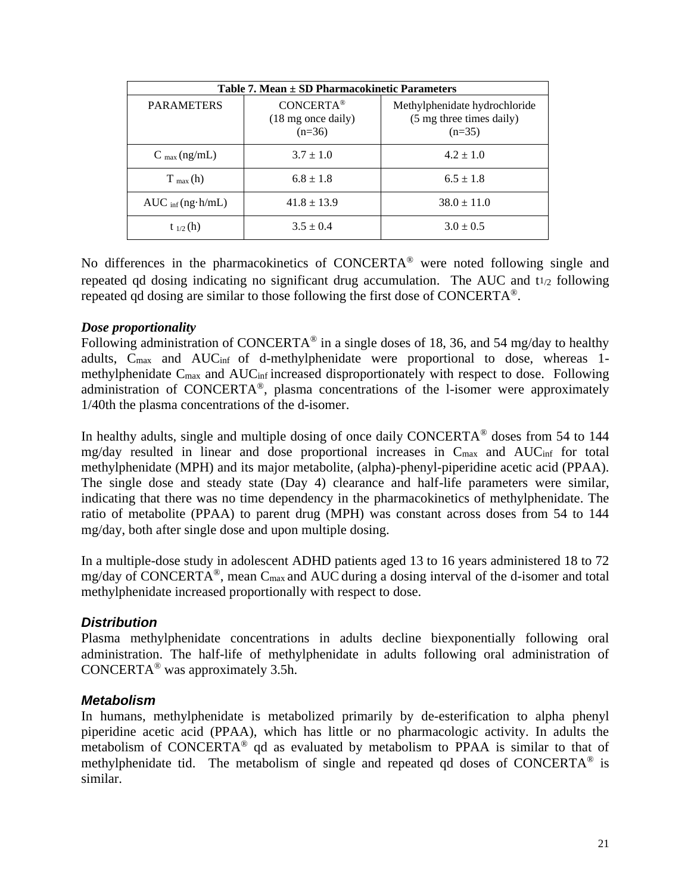| Table 7. Mean ± SD Pharmacokinetic Parameters |                                                    |                                                                       |
|-----------------------------------------------|----------------------------------------------------|-----------------------------------------------------------------------|
| <b>PARAMETERS</b>                             | <b>CONCERTA®</b><br>(18 mg once daily)<br>$(n=36)$ | Methylphenidate hydrochloride<br>(5 mg three times daily)<br>$(n=35)$ |
| $C_{\text{max}}(ng/mL)$                       | $3.7 \pm 1.0$                                      | $4.2 \pm 1.0$                                                         |
| $T_{max}(h)$                                  | $6.8 \pm 1.8$                                      | $6.5 \pm 1.8$                                                         |
| $AUC_{\text{inf}}(ng \cdot h/mL)$             | $41.8 \pm 13.9$                                    | $38.0 \pm 11.0$                                                       |
| $t_{1/2}$ (h)                                 | $3.5 \pm 0.4$                                      | $3.0 \pm 0.5$                                                         |

No differences in the pharmacokinetics of CONCERTA® were noted following single and repeated qd dosing indicating no significant drug accumulation. The AUC and  $t_{1/2}$  following repeated qd dosing are similar to those following the first dose of CONCERTA®.

#### *Dose proportionality*

Following administration of CONCERTA<sup>®</sup> in a single doses of 18, 36, and 54 mg/day to healthy adults, Cmax and AUCinf of d-methylphenidate were proportional to dose, whereas 1 methylphenidate Cmax and AUCinf increased disproportionately with respect to dose. Following administration of CONCERTA®, plasma concentrations of the l-isomer were approximately 1/40th the plasma concentrations of the d-isomer.

In healthy adults, single and multiple dosing of once daily CONCERTA® doses from 54 to 144 mg/day resulted in linear and dose proportional increases in Cmax and AUCinf for total methylphenidate (MPH) and its major metabolite, (alpha)-phenyl-piperidine acetic acid (PPAA). The single dose and steady state (Day 4) clearance and half-life parameters were similar, indicating that there was no time dependency in the pharmacokinetics of methylphenidate. The ratio of metabolite (PPAA) to parent drug (MPH) was constant across doses from 54 to 144 mg/day, both after single dose and upon multiple dosing.

In a multiple-dose study in adolescent ADHD patients aged 13 to 16 years administered 18 to 72 mg/day of CONCERTA<sup>®</sup>, mean C<sub>max</sub> and AUC during a dosing interval of the d-isomer and total methylphenidate increased proportionally with respect to dose.

# *Distribution*

Plasma methylphenidate concentrations in adults decline biexponentially following oral administration. The half-life of methylphenidate in adults following oral administration of CONCERTA® was approximately 3.5h.

#### *Metabolism*

In humans, methylphenidate is metabolized primarily by de-esterification to alpha phenyl piperidine acetic acid (PPAA), which has little or no pharmacologic activity. In adults the metabolism of CONCERTA® qd as evaluated by metabolism to PPAA is similar to that of methylphenidate tid. The metabolism of single and repeated qd doses of CONCERTA® is similar.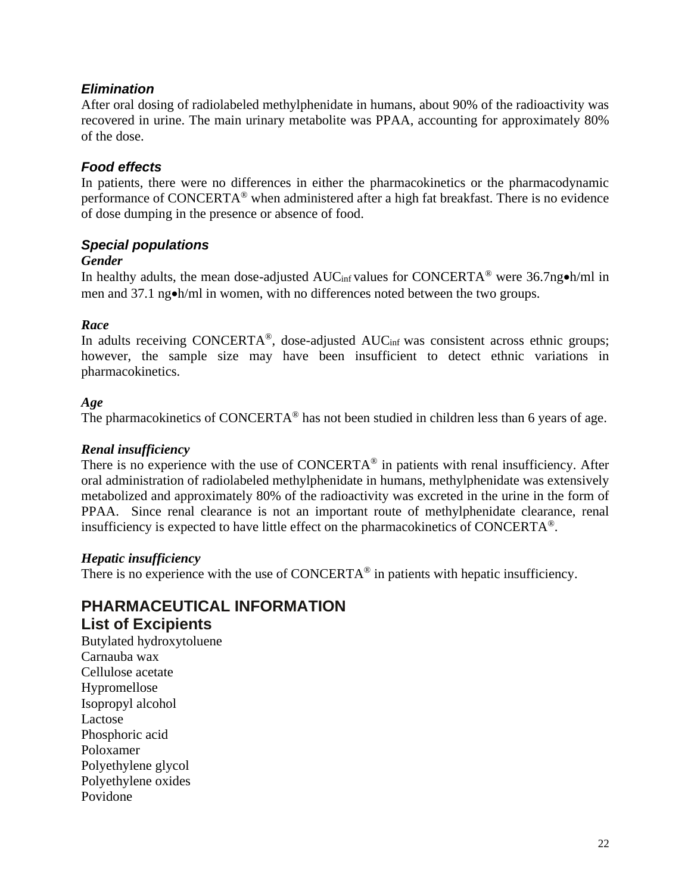# *Elimination*

After oral dosing of radiolabeled methylphenidate in humans, about 90% of the radioactivity was recovered in urine. The main urinary metabolite was PPAA, accounting for approximately 80% of the dose.

# *Food effects*

In patients, there were no differences in either the pharmacokinetics or the pharmacodynamic performance of CONCERTA® when administered after a high fat breakfast. There is no evidence of dose dumping in the presence or absence of food.

# *Special populations*

#### *Gender*

In healthy adults, the mean dose-adjusted AUCinf values for CONCERTA® were 36.7ng•h/ml in men and 37.1 ng•h/ml in women, with no differences noted between the two groups.

# *Race*

In adults receiving CONCERTA<sup>®</sup>, dose-adjusted  $AUC<sub>inf</sub>$  was consistent across ethnic groups; however, the sample size may have been insufficient to detect ethnic variations in pharmacokinetics.

#### *Age*

The pharmacokinetics of CONCERTA<sup>®</sup> has not been studied in children less than 6 years of age.

#### *Renal insufficiency*

There is no experience with the use of CONCERTA<sup>®</sup> in patients with renal insufficiency. After oral administration of radiolabeled methylphenidate in humans, methylphenidate was extensively metabolized and approximately 80% of the radioactivity was excreted in the urine in the form of PPAA. Since renal clearance is not an important route of methylphenidate clearance, renal insufficiency is expected to have little effect on the pharmacokinetics of CONCERTA®.

# *Hepatic insufficiency*

There is no experience with the use of  $CONCERTA<sup>®</sup>$  in patients with hepatic insufficiency.

# **PHARMACEUTICAL INFORMATION List of Excipients**

Butylated hydroxytoluene Carnauba wax Cellulose acetate Hypromellose Isopropyl alcohol Lactose Phosphoric acid Poloxamer Polyethylene glycol Polyethylene oxides Povidone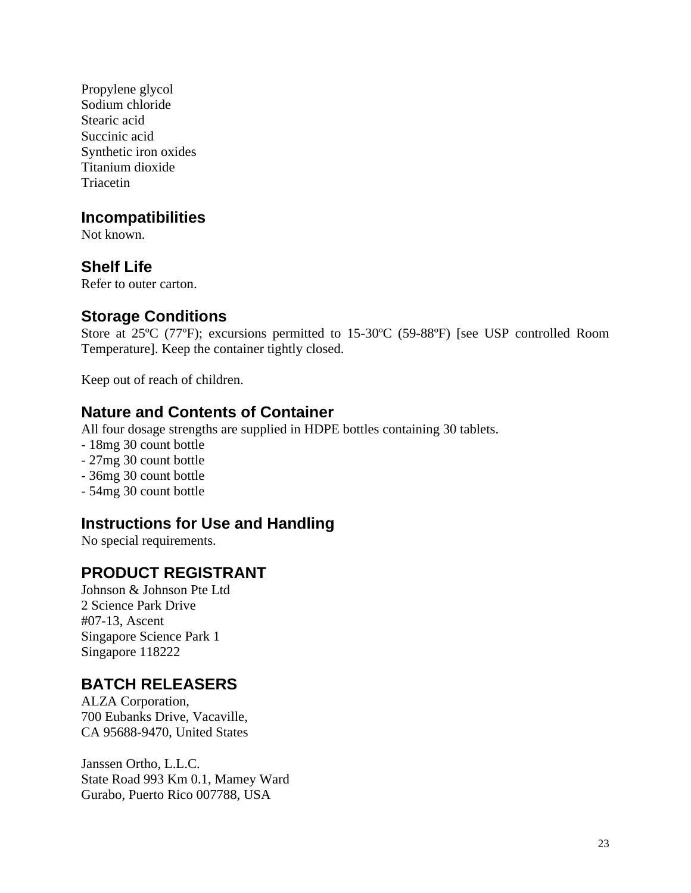Propylene glycol Sodium chloride Stearic acid Succinic acid Synthetic iron oxides Titanium dioxide **Triacetin** 

# **Incompatibilities**

Not known.

# **Shelf Life**

Refer to outer carton.

# **Storage Conditions**

Store at 25ºC (77ºF); excursions permitted to 15-30ºC (59-88ºF) [see USP controlled Room Temperature]. Keep the container tightly closed.

Keep out of reach of children.

# **Nature and Contents of Container**

All four dosage strengths are supplied in HDPE bottles containing 30 tablets.

- 18mg 30 count bottle
- 27mg 30 count bottle
- 36mg 30 count bottle
- 54mg 30 count bottle

# **Instructions for Use and Handling**

No special requirements.

# **PRODUCT REGISTRANT**

Johnson & Johnson Pte Ltd 2 Science Park Drive #07-13, Ascent Singapore Science Park 1 Singapore 118222

# **BATCH RELEASERS**

ALZA Corporation, 700 Eubanks Drive, Vacaville, CA 95688-9470, United States

Janssen Ortho, L.L.C. State Road 993 Km 0.1, Mamey Ward Gurabo, Puerto Rico 007788, USA